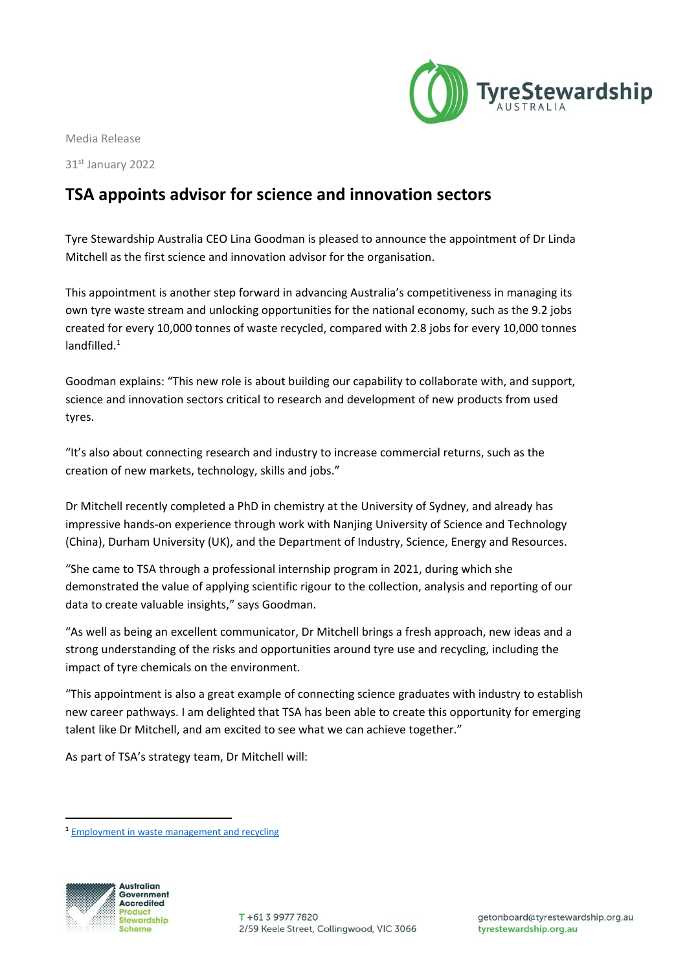

Media Release

31st January 2022

## **TSA appoints advisor for science and innovation sectors**

Tyre Stewardship Australia CEO Lina Goodman is pleased to announce the appointment of Dr Linda Mitchell as the first science and innovation advisor for the organisation.

This appointment is another step forward in advancing Australia's competitiveness in managing its own tyre waste stream and unlocking opportunities for the national economy, such as the 9.2 jobs created for every 10,000 tonnes of waste recycled, compared with 2.8 jobs for every 10,000 tonnes landfilled.<sup>1</sup>

Goodman explains: "This new role is about building our capability to collaborate with, and support, science and innovation sectors critical to research and development of new products from used tyres.

"It's also about connecting research and industry to increase commercial returns, such as the creation of new markets, technology, skills and jobs."

Dr Mitchell recently completed a PhD in chemistry at the University of Sydney, and already has impressive hands-on experience through work with Nanjing University of Science and Technology (China), Durham University (UK), and the Department of Industry, Science, Energy and Resources.

"She came to TSA through a professional internship program in 2021, during which she demonstrated the value of applying scientific rigour to the collection, analysis and reporting of our data to create valuable insights," says Goodman.

"As well as being an excellent communicator, Dr Mitchell brings a fresh approach, new ideas and a strong understanding of the risks and opportunities around tyre use and recycling, including the impact of tyre chemicals on the environment.

"This appointment is also a great example of connecting science graduates with industry to establish new career pathways. I am delighted that TSA has been able to create this opportunity for emerging talent like Dr Mitchell, and am excited to see what we can achieve together."

As part of TSA's strategy team, Dr Mitchell will:

**<sup>1</sup>** [Employment in waste management and recycling](https://www.awe.gov.au/environment/protection/waste/publications/employment-waste-management-and-recycling)